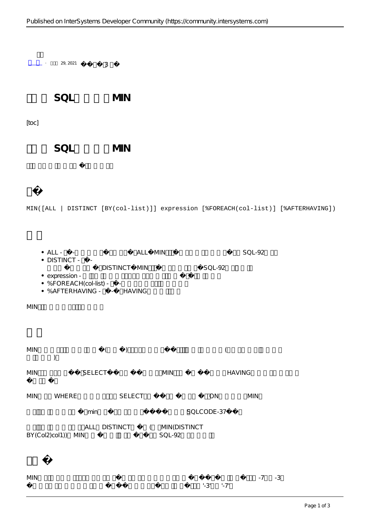$+$  29, 2021  $-$  3 SOL MIN [toc] SQL MIN MIN([ALL | DISTINCT [BY(col-list)]] expression [%FOREACH(col-list)] [%AFTERHAVING])  $\bullet$  ALL -  $\bullet$  ALL MIN  $\bullet$  DISTINCT -  $\qquad$ DISTINCT MIN SQL-92 • expression - $\bullet$  %FOREACH(col-list) -  $\bullet$  % AFTERHAVING  $\bullet$  - HAVING  $MIN$  $MIN$  ( ) (  $\lambda$ MIN SELECT MIN HAVING

MIN WHERE SELECT ON MIN min<br>SQLCODE-37

ALL DISTINCT ( MIN(DISTINCT BY(Col2)col1)) MIN SQL-92

| <b>MIN</b> |           | $-7 - 3$ |  |
|------------|-----------|----------|--|
|            | $-3' -7'$ |          |  |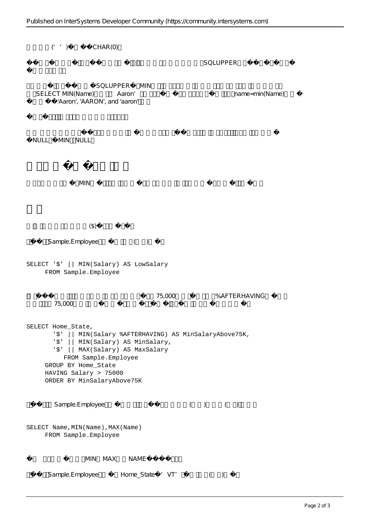$('')$   $CHAR(0)$ SQLUPPER SQLUPPER MIN SELECT MIN(Name) Aaron' Aaron's mame=min(Name) 'Aaron', 'AARON', and 'aaron' NULL, MIN NULL  $MIN$  $(\textcircled{})$ Sample.Employee () SELECT '\$' || MIN(Salary) AS LowSalary FROM Sample.Employee 75,000 %AFTERHAVING 每行返回大于75,000美元的最低员工工资。每行还返回该状态下所有员工的最低工资和最高工资: SELECT Home\_State, '\$' || MIN(Salary %AFTERHAVING) AS MinSalaryAbove75K, '\$' || MIN(Salary) AS MinSalary, '\$' || MAX(Salary) AS MaxSalary FROM Sample.Employee GROUP BY Home\_State HAVING Salary > 75000 ORDER BY MinSalaryAbove75K Sample.Employee () () SELECT Name, MIN(Name), MAX(Name) FROM Sample.Employee  $MIN$ ,  $MAX$ ,  $NAMF$ Sample.Employee Home\_State 'VT' ()